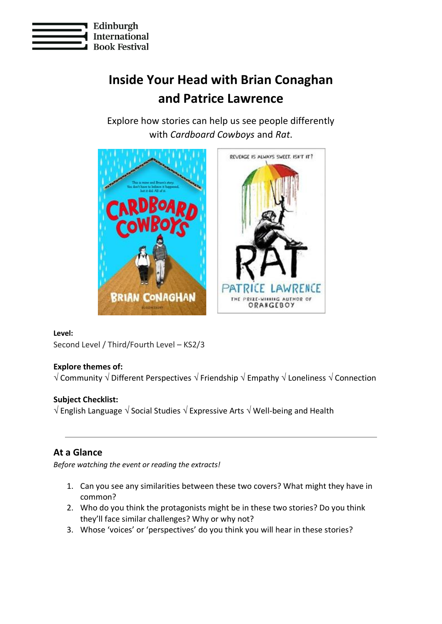

# **Inside Your Head with Brian Conaghan and Patrice Lawrence**

Explore how stories can help us see people differently with *Cardboard Cowboys* and *Rat*.





#### **Level:**

Second Level / Third/Fourth Level – KS2/3

#### **Explore themes of:**

 $\sqrt{2}$  Community  $\sqrt{2}$  Different Perspectives  $\sqrt{2}$  Friendship  $\sqrt{2}$  Empathy  $\sqrt{2}$  Loneliness  $\sqrt{2}$  Connection

#### **Subject Checklist:**

 $\sqrt{\frac{1}{2}}$  English Language  $\sqrt{\frac{1}{2}}$  Social Studies  $\sqrt{\frac{1}{2}}$  Expressive Arts  $\sqrt{\frac{1}{2}}$  Well-being and Health

## **At a Glance**

*Before watching the event or reading the extracts!*

- 1. Can you see any similarities between these two covers? What might they have in common?
- 2. Who do you think the protagonists might be in these two stories? Do you think they'll face similar challenges? Why or why not?
- 3. Whose 'voices' or 'perspectives' do you think you will hear in these stories?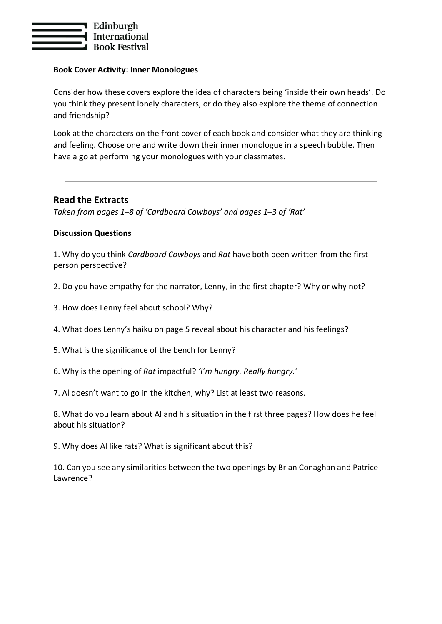

#### **Book Cover Activity: Inner Monologues**

Consider how these covers explore the idea of characters being 'inside their own heads'. Do you think they present lonely characters, or do they also explore the theme of connection and friendship?

Look at the characters on the front cover of each book and consider what they are thinking and feeling. Choose one and write down their inner monologue in a speech bubble. Then have a go at performing your monologues with your classmates.

#### **Read the Extracts**

*Taken from pages 1–8 of 'Cardboard Cowboys' and pages 1–3 of 'Rat'*

#### **Discussion Questions**

1. Why do you think *Cardboard Cowboys* and *Rat* have both been written from the first person perspective?

- 2. Do you have empathy for the narrator, Lenny, in the first chapter? Why or why not?
- 3. How does Lenny feel about school? Why?
- 4. What does Lenny's haiku on page 5 reveal about his character and his feelings?
- 5. What is the significance of the bench for Lenny?
- 6. Why is the opening of *Rat* impactful? *'I'm hungry. Really hungry.'*
- 7. Al doesn't want to go in the kitchen, why? List at least two reasons.

8. What do you learn about Al and his situation in the first three pages? How does he feel about his situation?

9. Why does Al like rats? What is significant about this?

10. Can you see any similarities between the two openings by Brian Conaghan and Patrice Lawrence?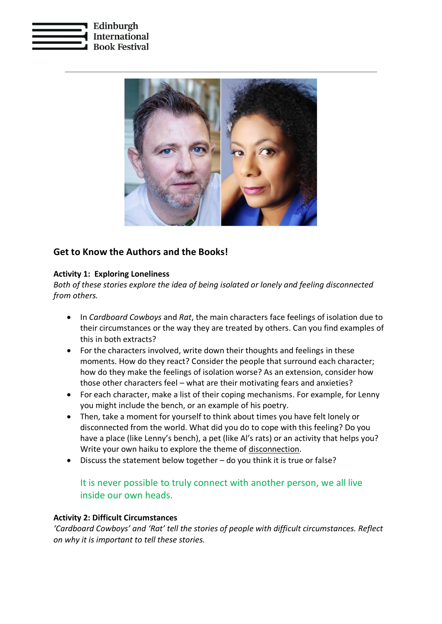



# **Get to Know the Authors and the Books!**

#### **Activity 1: Exploring Loneliness**

*Both of these stories explore the idea of being isolated or lonely and feeling disconnected from others.*

- In *Cardboard Cowboys* and *Rat*, the main characters face feelings of isolation due to their circumstances or the way they are treated by others. Can you find examples of this in both extracts?
- For the characters involved, write down their thoughts and feelings in these moments. How do they react? Consider the people that surround each character; how do they make the feelings of isolation worse? As an extension, consider how those other characters feel – what are their motivating fears and anxieties?
- For each character, make a list of their coping mechanisms. For example, for Lenny you might include the bench, or an example of his poetry.
- Then, take a moment for yourself to think about times you have felt lonely or disconnected from the world. What did you do to cope with this feeling? Do you have a place (like Lenny's bench), a pet (like Al's rats) or an activity that helps you? Write your own haiku to explore the theme of disconnection.
- Discuss the statement below together do you think it is true or false?

# It is never possible to truly connect with another person, we all live inside our own heads.

#### **Activity 2: Difficult Circumstances**

*'Cardboard Cowboys' and 'Rat' tell the stories of people with difficult circumstances. Reflect on why it is important to tell these stories.*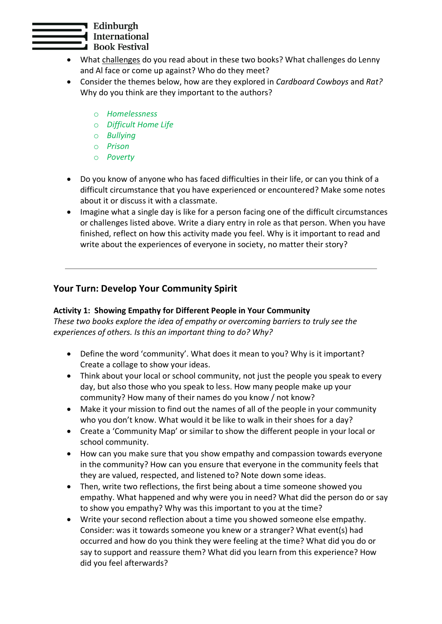

- What challenges do you read about in these two books? What challenges do Lenny and Al face or come up against? Who do they meet?
- Consider the themes below, how are they explored in *Cardboard Cowboys* and *Rat?*  Why do you think are they important to the authors?
	- o *Homelessness*
	- o *Difficult Home Life*
	- o *Bullying*
	- o *Prison*
	- o *Poverty*
- Do you know of anyone who has faced difficulties in their life, or can you think of a difficult circumstance that you have experienced or encountered? Make some notes about it or discuss it with a classmate.
- Imagine what a single day is like for a person facing one of the difficult circumstances or challenges listed above. Write a diary entry in role as that person. When you have finished, reflect on how this activity made you feel. Why is it important to read and write about the experiences of everyone in society, no matter their story?

## **Your Turn: Develop Your Community Spirit**

#### **Activity 1: Showing Empathy for Different People in Your Community**

*These two books explore the idea of empathy or overcoming barriers to truly see the experiences of others. Is this an important thing to do? Why?*

- Define the word 'community'. What does it mean to you? Why is it important? Create a collage to show your ideas.
- Think about your local or school community, not just the people you speak to every day, but also those who you speak to less. How many people make up your community? How many of their names do you know / not know?
- Make it your mission to find out the names of all of the people in your community who you don't know. What would it be like to walk in their shoes for a day?
- Create a 'Community Map' or similar to show the different people in your local or school community.
- How can you make sure that you show empathy and compassion towards everyone in the community? How can you ensure that everyone in the community feels that they are valued, respected, and listened to? Note down some ideas.
- Then, write two reflections, the first being about a time someone showed you empathy. What happened and why were you in need? What did the person do or say to show you empathy? Why was this important to you at the time?
- Write your second reflection about a time you showed someone else empathy. Consider: was it towards someone you knew or a stranger? What event(s) had occurred and how do you think they were feeling at the time? What did you do or say to support and reassure them? What did you learn from this experience? How did you feel afterwards?